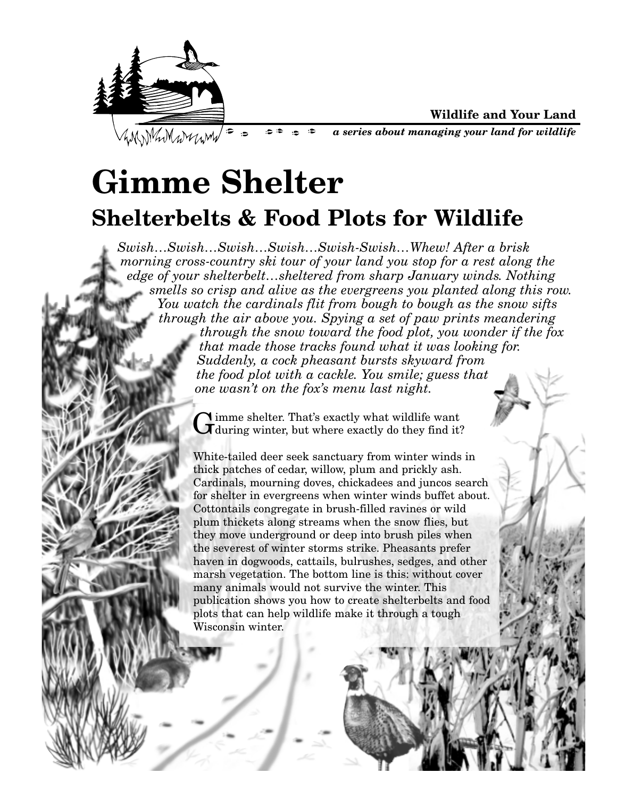

**Wildlife and Your Land**

WWW.MwWwm/= = ه: د  $\cdot$   $\approx$ *a series about managing your land for wildlife*  $\bullet$ 

## **Gimme Shelter Shelterbelts & Food Plots for Wildlife**

*Swish…Swish…Swish…Swish…Swish-Swish…Whew! After a brisk morning cross-country ski tour of your land you stop for a rest along the edge of your shelterbelt…sheltered from sharp January winds. Nothing smells so crisp and alive as the evergreens you planted along this row. You watch the cardinals flit from bough to bough as the snow sifts through the air above you. Spying a set of paw prints meandering through the snow toward the food plot, you wonder if the fox that made those tracks found what it was looking for. Suddenly, a cock pheasant bursts skyward from the food plot with a cackle. You smile; guess that one wasn't on the fox's menu last night.*

Gimme shelter. That's exactly what wildlife want<br>Giduring winter, but where exactly do they find it?

White-tailed deer seek sanctuary from winter winds in thick patches of cedar, willow, plum and prickly ash. Cardinals, mourning doves, chickadees and juncos search for shelter in evergreens when winter winds buffet about. Cottontails congregate in brush-filled ravines or wild plum thickets along streams when the snow flies, but they move underground or deep into brush piles when the severest of winter storms strike. Pheasants prefer haven in dogwoods, cattails, bulrushes, sedges, and other marsh vegetation. The bottom line is this: without cover many animals would not survive the winter. This publication shows you how to create shelterbelts and food plots that can help wildlife make it through a tough Wisconsin winter.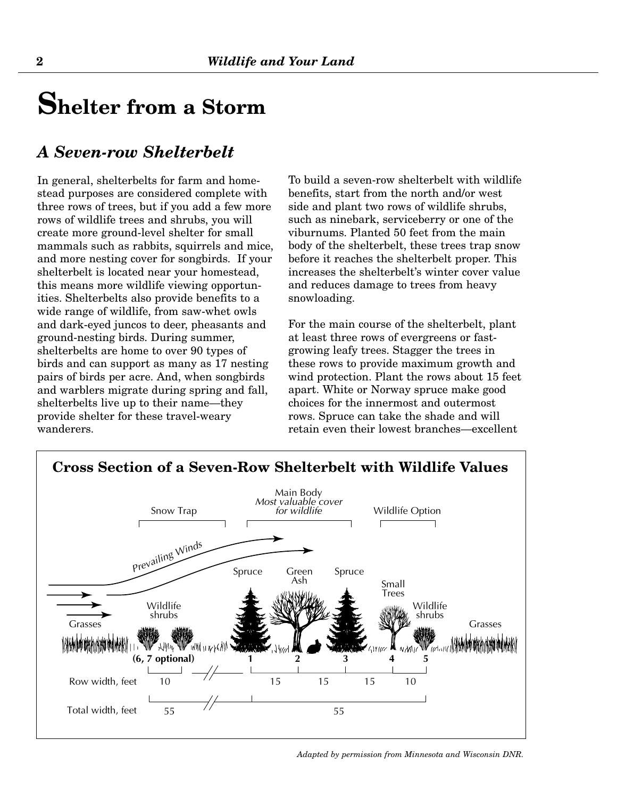### **Shelter from a Storm**

#### *A Seven-row Shelterbelt*

In general, shelterbelts for farm and homestead purposes are considered complete with three rows of trees, but if you add a few more rows of wildlife trees and shrubs, you will create more ground-level shelter for small mammals such as rabbits, squirrels and mice, and more nesting cover for songbirds. If your shelterbelt is located near your homestead, this means more wildlife viewing opportunities. Shelterbelts also provide benefits to a wide range of wildlife, from saw-whet owls and dark-eyed juncos to deer, pheasants and ground-nesting birds. During summer, shelterbelts are home to over 90 types of birds and can support as many as 17 nesting pairs of birds per acre. And, when songbirds and warblers migrate during spring and fall, shelterbelts live up to their name—they provide shelter for these travel-weary wanderers.

To build a seven-row shelterbelt with wildlife benefits, start from the north and/or west side and plant two rows of wildlife shrubs, such as ninebark, serviceberry or one of the viburnums. Planted 50 feet from the main body of the shelterbelt, these trees trap snow before it reaches the shelterbelt proper. This increases the shelterbelt's winter cover value and reduces damage to trees from heavy snowloading.

For the main course of the shelterbelt, plant at least three rows of evergreens or fastgrowing leafy trees. Stagger the trees in these rows to provide maximum growth and wind protection. Plant the rows about 15 feet apart. White or Norway spruce make good choices for the innermost and outermost rows. Spruce can take the shade and will retain even their lowest branches—excellent

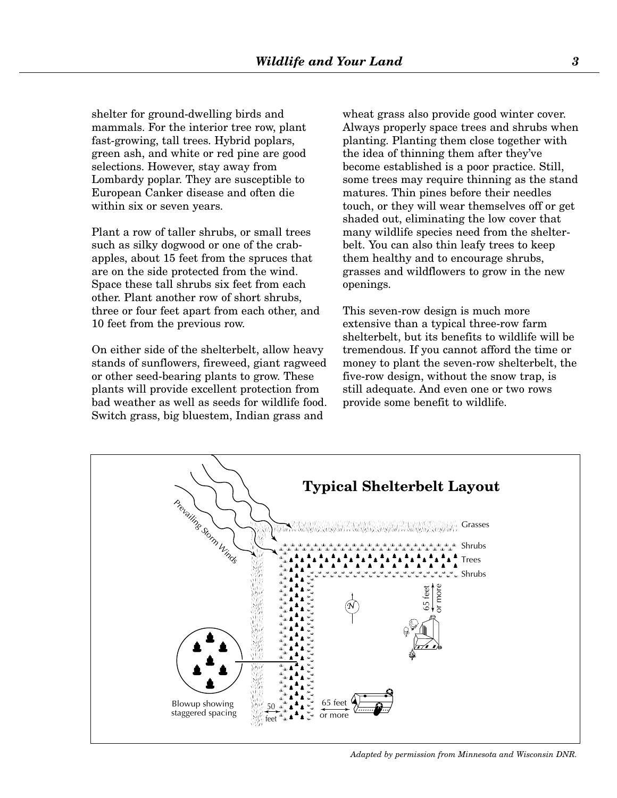shelter for ground-dwelling birds and mammals. For the interior tree row, plant fast-growing, tall trees. Hybrid poplars, green ash, and white or red pine are good selections. However, stay away from Lombardy poplar. They are susceptible to European Canker disease and often die within six or seven years.

Plant a row of taller shrubs, or small trees such as silky dogwood or one of the crabapples, about 15 feet from the spruces that are on the side protected from the wind. Space these tall shrubs six feet from each other. Plant another row of short shrubs, three or four feet apart from each other, and 10 feet from the previous row.

On either side of the shelterbelt, allow heavy stands of sunflowers, fireweed, giant ragweed or other seed-bearing plants to grow. These plants will provide excellent protection from bad weather as well as seeds for wildlife food. Switch grass, big bluestem, Indian grass and

wheat grass also provide good winter cover. Always properly space trees and shrubs when planting. Planting them close together with the idea of thinning them after they've become established is a poor practice. Still, some trees may require thinning as the stand matures. Thin pines before their needles touch, or they will wear themselves off or get shaded out, eliminating the low cover that many wildlife species need from the shelterbelt. You can also thin leafy trees to keep them healthy and to encourage shrubs, grasses and wildflowers to grow in the new openings.

This seven-row design is much more extensive than a typical three-row farm shelterbelt, but its benefits to wildlife will be tremendous. If you cannot afford the time or money to plant the seven-row shelterbelt, the five-row design, without the snow trap, is still adequate. And even one or two rows provide some benefit to wildlife.



*Adapted by permission from Minnesota and Wisconsin DNR.*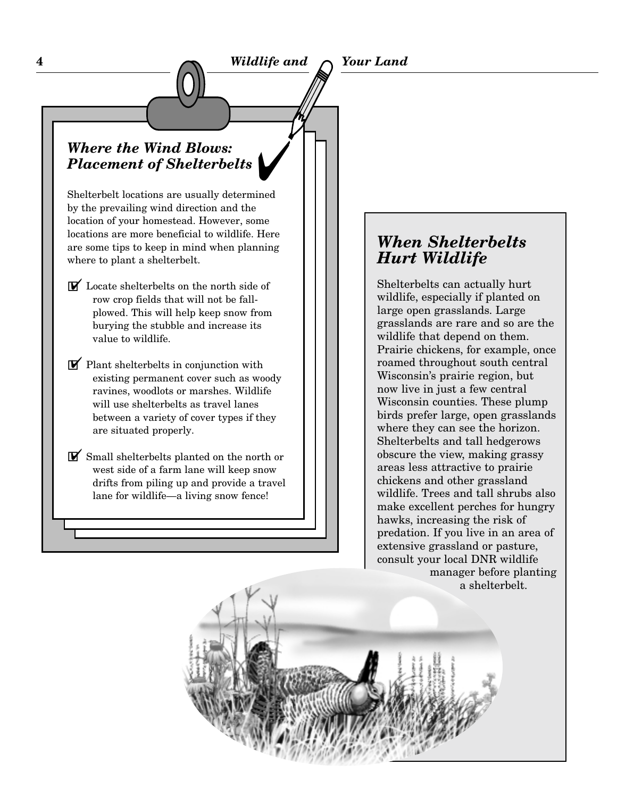# Y *Where the Wind Blows: Placement of Shelterbelts*

Shelterbelt locations are usually determined by the prevailing wind direction and the location of your homestead. However, some locations are more beneficial to wildlife. Here are some tips to keep in mind when planning where to plant a shelterbelt.

- GY Locate shelterbelts on the north side of row crop fields that will not be fallplowed. This will help keep snow from burying the stubble and increase its value to wildlife.
- $\triangledown$  Plant shelterbelts in conjunction with existing permanent cover such as woody ravines, woodlots or marshes. Wildlife will use shelterbelts as travel lanes between a variety of cover types if they are situated properly.
- GY Small shelterbelts planted on the north or west side of a farm lane will keep snow drifts from piling up and provide a travel lane for wildlife—a living snow fence!

#### *When Shelterbelts Hurt Wildlife*

Shelterbelts can actually hurt wildlife, especially if planted on large open grasslands. Large grasslands are rare and so are the wildlife that depend on them. Prairie chickens, for example, once roamed throughout south central Wisconsin's prairie region, but now live in just a few central Wisconsin counties. These plump birds prefer large, open grasslands where they can see the horizon. Shelterbelts and tall hedgerows obscure the view, making grassy areas less attractive to prairie chickens and other grassland wildlife. Trees and tall shrubs also make excellent perches for hungry hawks, increasing the risk of predation. If you live in an area of extensive grassland or pasture, consult your local DNR wildlife manager before planting a shelterbelt.

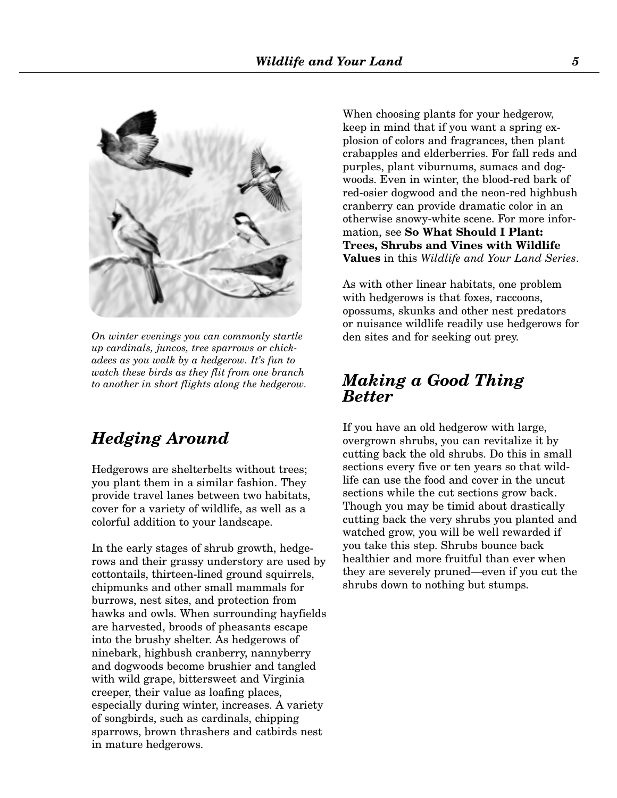

*On winter evenings you can commonly startle up cardinals, juncos, tree sparrows or chickadees as you walk by a hedgerow. It's fun to watch these birds as they flit from one branch to another in short flights along the hedgerow.*

#### *Hedging Around*

Hedgerows are shelterbelts without trees; you plant them in a similar fashion. They provide travel lanes between two habitats, cover for a variety of wildlife, as well as a colorful addition to your landscape.

In the early stages of shrub growth, hedgerows and their grassy understory are used by cottontails, thirteen-lined ground squirrels, chipmunks and other small mammals for burrows, nest sites, and protection from hawks and owls. When surrounding hayfields are harvested, broods of pheasants escape into the brushy shelter. As hedgerows of ninebark, highbush cranberry, nannyberry and dogwoods become brushier and tangled with wild grape, bittersweet and Virginia creeper, their value as loafing places, especially during winter, increases. A variety of songbirds, such as cardinals, chipping sparrows, brown thrashers and catbirds nest in mature hedgerows.

When choosing plants for your hedgerow, keep in mind that if you want a spring explosion of colors and fragrances, then plant crabapples and elderberries. For fall reds and purples, plant viburnums, sumacs and dogwoods. Even in winter, the blood-red bark of red-osier dogwood and the neon-red highbush cranberry can provide dramatic color in an otherwise snowy-white scene. For more information, see **So What Should I Plant: Trees, Shrubs and Vines with Wildlife Values** in this *Wildlife and Your Land Series*.

As with other linear habitats, one problem with hedgerows is that foxes, raccoons, opossums, skunks and other nest predators or nuisance wildlife readily use hedgerows for den sites and for seeking out prey.

#### *Making a Good Thing Better*

If you have an old hedgerow with large, overgrown shrubs, you can revitalize it by cutting back the old shrubs. Do this in small sections every five or ten years so that wildlife can use the food and cover in the uncut sections while the cut sections grow back. Though you may be timid about drastically cutting back the very shrubs you planted and watched grow, you will be well rewarded if you take this step. Shrubs bounce back healthier and more fruitful than ever when they are severely pruned—even if you cut the shrubs down to nothing but stumps.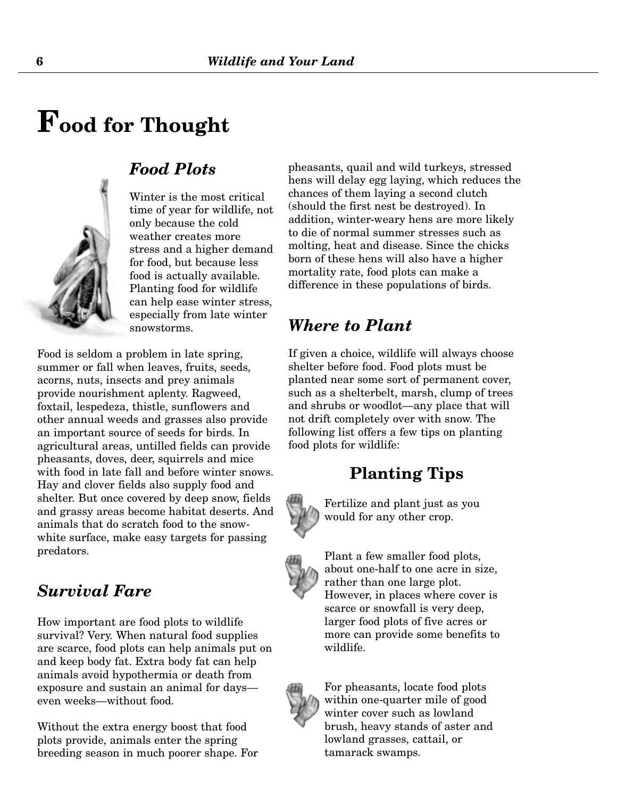## **Food for Thought**



#### *Food Plots*

Winter is the most critical time of year for wildlife, not only because the cold weather creates more stress and a higher demand for food, but because less food is actually available. Planting food for wildlife can help ease winter stress, especially from late winter snowstorms.

Food is seldom a problem in late spring, summer or fall when leaves, fruits, seeds, acorns, nuts, insects and prey animals provide nourishment aplenty. Ragweed, foxtail, lespedeza, thistle, sunflowers and other annual weeds and grasses also provide an important source of seeds for birds. In agricultural areas, untilled fields can provide pheasants, doves, deer, squirrels and mice with food in late fall and before winter snows. Hay and clover fields also supply food and shelter. But once covered by deep snow, fields and grassy areas become habitat deserts. And animals that do scratch food to the snowwhite surface, make easy targets for passing predators.

#### *Survival Fare*

How important are food plots to wildlife survival? Very. When natural food supplies are scarce, food plots can help animals put on and keep body fat. Extra body fat can help animals avoid hypothermia or death from exposure and sustain an animal for days even weeks—without food.

Without the extra energy boost that food plots provide, animals enter the spring breeding season in much poorer shape. For pheasants, quail and wild turkeys, stressed hens will delay egg laying, which reduces the chances of them laying a second clutch (should the first nest be destroyed). In addition, winter-weary hens are more likely to die of normal summer stresses such as molting, heat and disease. Since the chicks born of these hens will also have a higher mortality rate, food plots can make a difference in these populations of birds.

#### *Where to Plant*

If given a choice, wildlife will always choose shelter before food. Food plots must be planted near some sort of permanent cover, such as a shelterbelt, marsh, clump of trees and shrubs or woodlot—any place that will not drift completely over with snow. The following list offers a few tips on planting food plots for wildlife:

#### **Planting Tips**



Fertilize and plant just as you would for any other crop.



Plant a few smaller food plots, about one-half to one acre in size, rather than one large plot. However, in places where cover is scarce or snowfall is very deep, larger food plots of five acres or more can provide some benefits to wildlife.



For pheasants, locate food plots within one-quarter mile of good winter cover such as lowland brush, heavy stands of aster and lowland grasses, cattail, or tamarack swamps.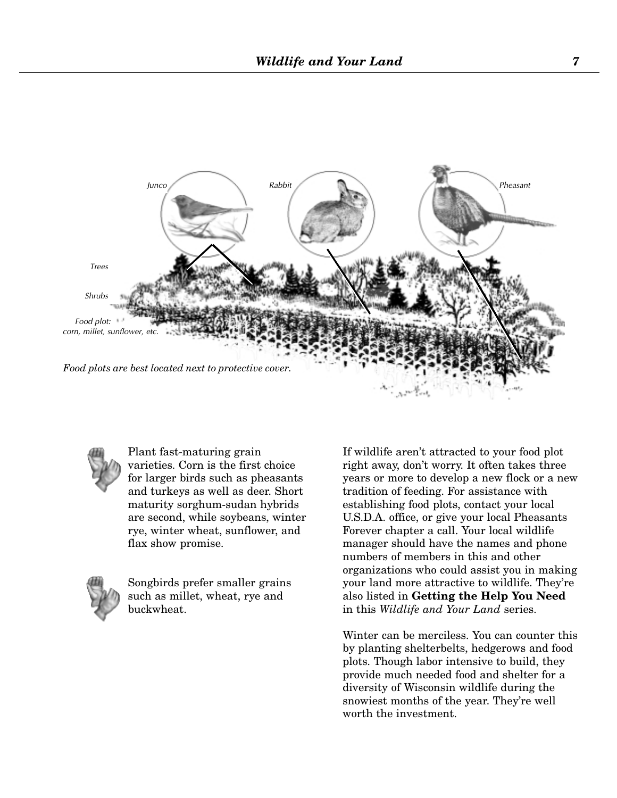



Plant fast-maturing grain varieties. Corn is the first choice for larger birds such as pheasants and turkeys as well as deer. Short maturity sorghum-sudan hybrids are second, while soybeans, winter rye, winter wheat, sunflower, and flax show promise.



Songbirds prefer smaller grains such as millet, wheat, rye and buckwheat.

If wildlife aren't attracted to your food plot right away, don't worry. It often takes three years or more to develop a new flock or a new tradition of feeding. For assistance with establishing food plots, contact your local U.S.D.A. office, or give your local Pheasants Forever chapter a call. Your local wildlife manager should have the names and phone numbers of members in this and other organizations who could assist you in making your land more attractive to wildlife. They're also listed in **Getting the Help You Need** in this *Wildlife and Your Land* series.

Winter can be merciless. You can counter this by planting shelterbelts, hedgerows and food plots. Though labor intensive to build, they provide much needed food and shelter for a diversity of Wisconsin wildlife during the snowiest months of the year. They're well worth the investment.